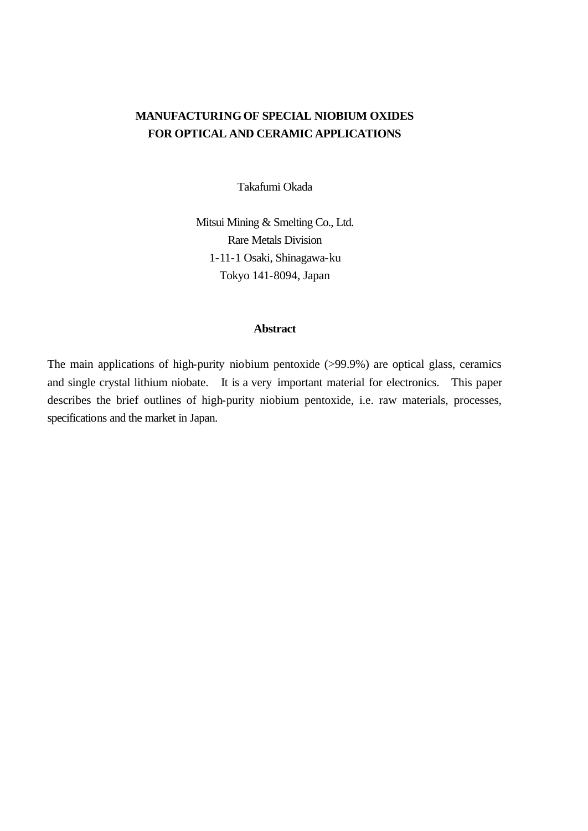# **MANUFACTURING OF SPECIAL NIOBIUM OXIDES FOR OPTICAL AND CERAMIC APPLICATIONS**

Takafumi Okada

Mitsui Mining & Smelting Co., Ltd. Rare Metals Division 1-11-1 Osaki, Shinagawa-ku Tokyo 141-8094, Japan

### **Abstract**

The main applications of high-purity niobium pentoxide (>99.9%) are optical glass, ceramics and single crystal lithium niobate. It is a very important material for electronics. This paper describes the brief outlines of high-purity niobium pentoxide, i.e. raw materials, processes, specifications and the market in Japan.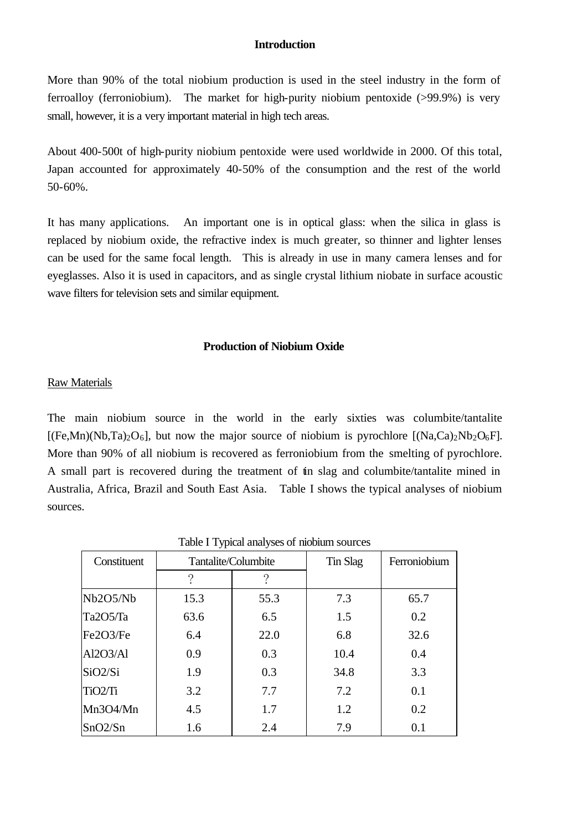#### **Introduction**

More than 90% of the total niobium production is used in the steel industry in the form of ferroalloy (ferroniobium). The market for high-purity niobium pentoxide (>99.9%) is very small, however, it is a very important material in high tech areas.

About 400-500t of high-purity niobium pentoxide were used worldwide in 2000. Of this total, Japan accounted for approximately 40-50% of the consumption and the rest of the world 50-60%.

It has many applications. An important one is in optical glass: when the silica in glass is replaced by niobium oxide, the refractive index is much greater, so thinner and lighter lenses can be used for the same focal length. This is already in use in many camera lenses and for eyeglasses. Also it is used in capacitors, and as single crystal lithium niobate in surface acoustic wave filters for television sets and similar equipment.

#### **Production of Niobium Oxide**

#### Raw Materials

The main niobium source in the world in the early sixties was columbite/tantalite  $[(Fe, Mn)(Nb, Ta)<sub>2</sub>O<sub>6</sub>]$ , but now the major source of niobium is pyrochlore  $[(Na, Ca)<sub>2</sub>Nb<sub>2</sub>O<sub>6</sub>F]$ . More than 90% of all niobium is recovered as ferroniobium from the smelting of pyrochlore. A small part is recovered during the treatment of tin slag and columbite/tantalite mined in Australia, Africa, Brazil and South East Asia. Table I shows the typical analyses of niobium sources.

| Constituent | Tantalite/Columbite |      | Tin Slag | Ferroniobium |
|-------------|---------------------|------|----------|--------------|
|             | റ                   | ?    |          |              |
| Nb2O5/Nb    | 15.3                | 55.3 | 7.3      | 65.7         |
| Ta2O5/Ta    | 63.6                | 6.5  | 1.5      | 0.2          |
| Fe2O3/Fe    | 6.4                 | 22.0 | 6.8      | 32.6         |
| Al2O3/Al    | 0.9                 | 0.3  | 10.4     | 0.4          |
| SiO2/Si     | 1.9                 | 0.3  | 34.8     | 3.3          |
| TiO2/Ti     | 3.2                 | 7.7  | 7.2      | 0.1          |
| Mn3O4/Mn    | 4.5                 | 1.7  | 1.2      | 0.2          |
| SnO2/Sn     | 1.6                 | 2.4  | 7.9      | 0.1          |

Table I Typical analyses of niobium sources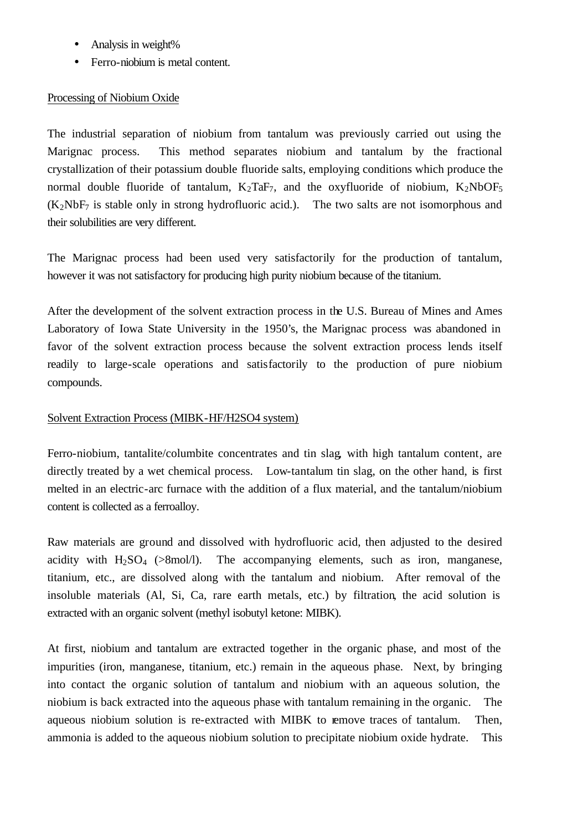- Analysis in weight%
- Ferro-niobium is metal content.

# Processing of Niobium Oxide

The industrial separation of niobium from tantalum was previously carried out using the Marignac process. This method separates niobium and tantalum by the fractional crystallization of their potassium double fluoride salts, employing conditions which produce the normal double fluoride of tantalum,  $K_2TaF_7$ , and the oxyfluoride of niobium,  $K_2NbOF_5$  $(K_2NbF_7)$  is stable only in strong hydrofluoric acid.). The two salts are not isomorphous and their solubilities are very different.

The Marignac process had been used very satisfactorily for the production of tantalum, however it was not satisfactory for producing high purity niobium because of the titanium.

After the development of the solvent extraction process in the U.S. Bureau of Mines and Ames Laboratory of Iowa State University in the 1950's, the Marignac process was abandoned in favor of the solvent extraction process because the solvent extraction process lends itself readily to large-scale operations and satisfactorily to the production of pure niobium compounds.

## Solvent Extraction Process (MIBK-HF/H2SO4 system)

Ferro-niobium, tantalite/columbite concentrates and tin slag, with high tantalum content, are directly treated by a wet chemical process. Low-tantalum tin slag, on the other hand, is first melted in an electric-arc furnace with the addition of a flux material, and the tantalum/niobium content is collected as a ferroalloy.

Raw materials are ground and dissolved with hydrofluoric acid, then adjusted to the desired acidity with  $H_2SO_4$  ( $>8$ mol/l). The accompanying elements, such as iron, manganese, titanium, etc., are dissolved along with the tantalum and niobium. After removal of the insoluble materials (Al, Si, Ca, rare earth metals, etc.) by filtration, the acid solution is extracted with an organic solvent (methyl isobutyl ketone: MIBK).

At first, niobium and tantalum are extracted together in the organic phase, and most of the impurities (iron, manganese, titanium, etc.) remain in the aqueous phase. Next, by bringing into contact the organic solution of tantalum and niobium with an aqueous solution, the niobium is back extracted into the aqueous phase with tantalum remaining in the organic. The aqueous niobium solution is re-extracted with MIBK to remove traces of tantalum. Then, ammonia is added to the aqueous niobium solution to precipitate niobium oxide hydrate. This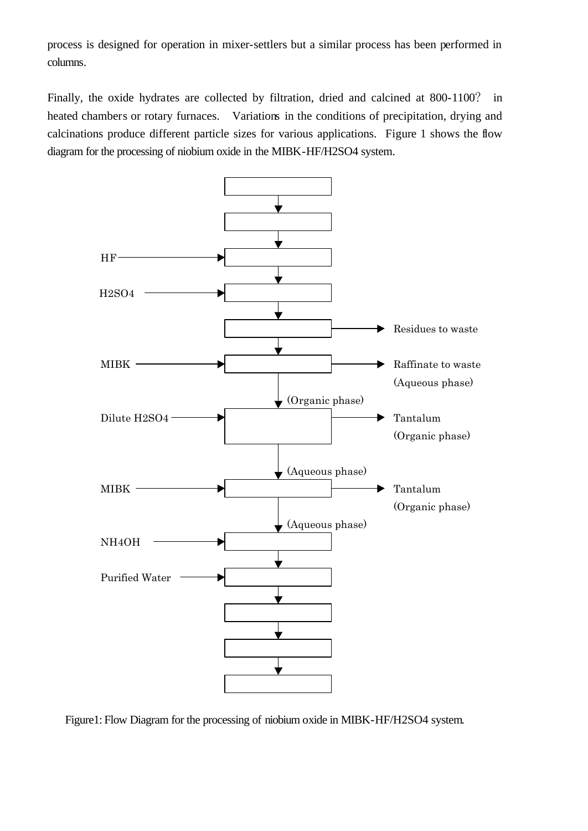process is designed for operation in mixer-settlers but a similar process has been performed in columns.

Finally, the oxide hydrates are collected by filtration, dried and calcined at 800-1100? in heated chambers or rotary furnaces. Variations in the conditions of precipitation, drying and calcinations produce different particle sizes for various applications. Figure 1 shows the flow diagram for the processing of niobium oxide in the MIBK-HF/H2SO4 system.



Figure1: Flow Diagram for the processing of niobium oxide in MIBK-HF/H2SO4 system.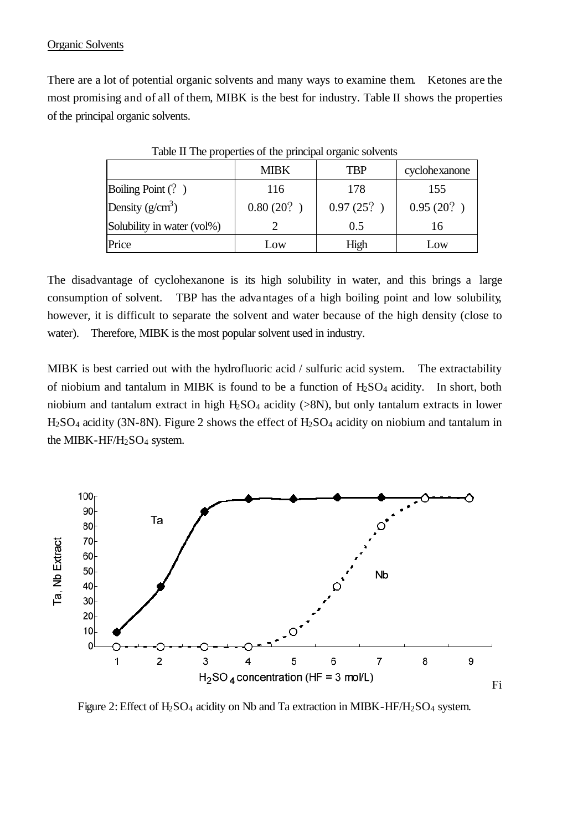### Organic Solvents

There are a lot of potential organic solvents and many ways to examine them. Ketones are the most promising and of all of them, MIBK is the best for industry. Table II shows the properties of the principal organic solvents.

|                            | <b>MIBK</b> | TBP       | cyclohexanone |
|----------------------------|-------------|-----------|---------------|
| Boiling Point (?)          | 116         | 178       | 155           |
| Density $(g/cm^3)$         | 0.80(20)    | 0.97(25?) | 0.95(20?)     |
| Solubility in water (vol%) |             | 0.5       | 16            |
| Price                      | Low         | High      | Low           |

Table II The properties of the principal organic solvents

The disadvantage of cyclohexanone is its high solubility in water, and this brings a large consumption of solvent. TBP has the advantages of a high boiling point and low solubility, however, it is difficult to separate the solvent and water because of the high density (close to water). Therefore, MIBK is the most popular solvent used in industry.

MIBK is best carried out with the hydrofluoric acid / sulfuric acid system. The extractability of niobium and tantalum in MIBK is found to be a function of  $H_2SO_4$  acidity. In short, both niobium and tantalum extract in high  $H_2SO_4$  acidity ( $>8N$ ), but only tantalum extracts in lower H<sub>2</sub>SO<sub>4</sub> acidity (3N-8N). Figure 2 shows the effect of H<sub>2</sub>SO<sub>4</sub> acidity on niobium and tantalum in the MIBK-HF/H<sub>2</sub>SO<sub>4</sub> system.



Figure 2: Effect of  $H_2SO_4$  acidity on Nb and Ta extraction in MIBK-HF/H<sub>2</sub>SO<sub>4</sub> system.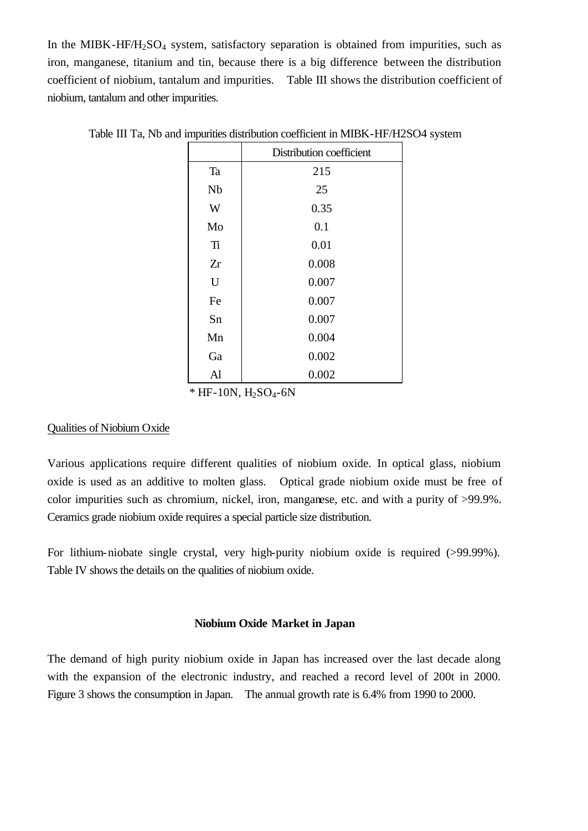In the MIBK-HF/H<sub>2</sub>SO<sub>4</sub> system, satisfactory separation is obtained from impurities, such as iron, manganese, titanium and tin, because there is a big difference between the distribution coefficient of niobium, tantalum and impurities. Table III shows the distribution coefficient of niobium, tantalum and other impurities.

|    | Distribution coefficient |  |  |
|----|--------------------------|--|--|
| Ta | 215                      |  |  |
| Nb | 25                       |  |  |
| W  | 0.35                     |  |  |
| Mo | 0.1                      |  |  |
| Ti | 0.01                     |  |  |
| Zr | 0.008                    |  |  |
| U  | 0.007                    |  |  |
| Fe | 0.007                    |  |  |
| Sn | 0.007                    |  |  |
| Mn | 0.004                    |  |  |
| Ga | 0.002                    |  |  |
| Al | 0.002                    |  |  |

Table III Ta, Nb and impurities distribution coefficient in MIBK-HF/H2SO4 system

 $*$  HF-10N, H<sub>2</sub>SO<sub>4</sub>-6N

### Qualities of Niobium Oxide

Various applications require different qualities of niobium oxide. In optical glass, niobium oxide is used as an additive to molten glass. Optical grade niobium oxide must be free of color impurities such as chromium, nickel, iron, manganese, etc. and with a purity of >99.9%. Ceramics grade niobium oxide requires a special particle size distribution.

For lithium-niobate single crystal, very high-purity niobium oxide is required (>99.99%). Table IV shows the details on the qualities of niobium oxide.

### **Niobium Oxide Market in Japan**

The demand of high purity niobium oxide in Japan has increased over the last decade along with the expansion of the electronic industry, and reached a record level of 200t in 2000. Figure 3 shows the consumption in Japan. The annual growth rate is 6.4% from 1990 to 2000.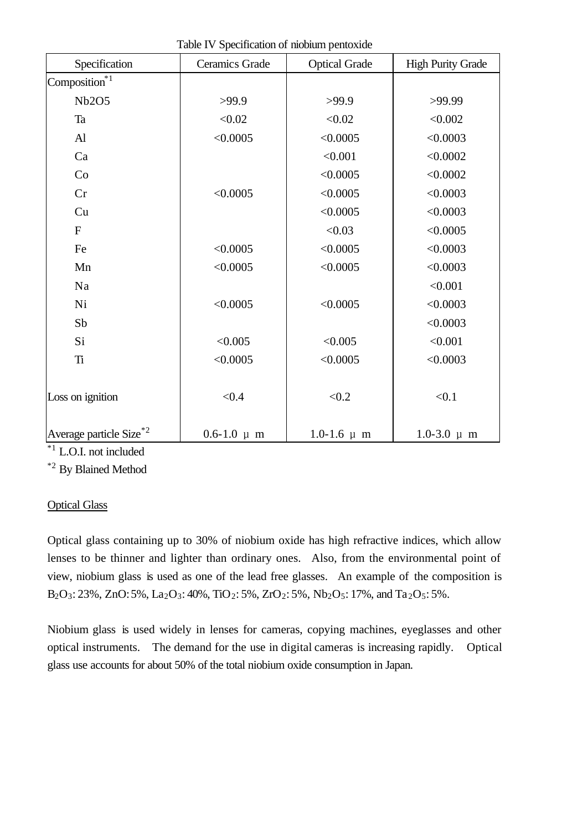| Specification                       | Ceramics Grade    | <b>Optical Grade</b> | <b>High Purity Grade</b> |
|-------------------------------------|-------------------|----------------------|--------------------------|
| Composition <sup>*1</sup>           |                   |                      |                          |
| Nb2O5                               | >99.9             | >99.9                | >99.99                   |
| Ta                                  | < 0.02            | < 0.02               | < 0.002                  |
| $\mathbf{A}$                        | < 0.0005          | < 0.0005             | < 0.0003                 |
| Ca                                  |                   | < 0.001              | < 0.0002                 |
| Co                                  |                   | < 0.0005             | < 0.0002                 |
| Cr                                  | < 0.0005          | < 0.0005             | < 0.0003                 |
| Cu                                  |                   | < 0.0005             | < 0.0003                 |
| $\mathbf{F}$                        |                   | < 0.03               | < 0.0005                 |
| Fe                                  | < 0.0005          | < 0.0005             | < 0.0003                 |
| Mn                                  | < 0.0005          | < 0.0005             | < 0.0003                 |
| Na                                  |                   |                      | < 0.001                  |
| Ni                                  | < 0.0005          | < 0.0005             | < 0.0003                 |
| Sb                                  |                   |                      | < 0.0003                 |
| Si                                  | < 0.005           | < 0.005              | < 0.001                  |
| Ti                                  | < 0.0005          | < 0.0005             | < 0.0003                 |
|                                     |                   |                      |                          |
| Loss on ignition                    | < 0.4             | < 0.2                | < 0.1                    |
| Average particle Size <sup>*2</sup> | $0.6 - 1.0 \mu m$ | $1.0 - 1.6 \mu m$    | $1.0 - 3.0 \mu m$        |

Table IV Specification of niobium pentoxide

\*1 L.O.I. not included

\*2 By Blained Method

# Optical Glass

Optical glass containing up to 30% of niobium oxide has high refractive indices, which allow lenses to be thinner and lighter than ordinary ones. Also, from the environmental point of view, niobium glass is used as one of the lead free glasses. An example of the composition is  $B_2O_3: 23\%$ , ZnO: 5%, La<sub>2</sub>O<sub>3</sub>: 40%, TiO<sub>2</sub>: 5%, ZrO<sub>2</sub>: 5%, Nb<sub>2</sub>O<sub>5</sub>: 17%, and Ta<sub>2</sub>O<sub>5</sub>: 5%.

Niobium glass is used widely in lenses for cameras, copying machines, eyeglasses and other optical instruments. The demand for the use in digital cameras is increasing rapidly. Optical glass use accounts for about 50% of the total niobium oxide consumption in Japan.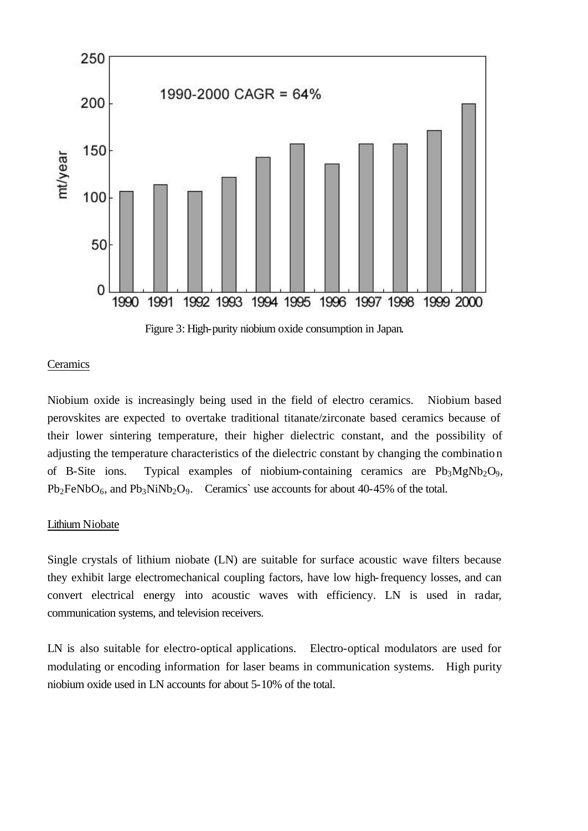

Figure 3: High-purity niobium oxide consumption in Japan.

#### **Ceramics**

Niobium oxide is increasingly being used in the field of electro ceramics. Niobium based perovskites are expected to overtake traditional titanate/zirconate based ceramics because of their lower sintering temperature, their higher dielectric constant, and the possibility of adjusting the temperature characteristics of the dielectric constant by changing the combination of B-Site ions. Typical examples of niobium-containing ceramics are  $Pb_3MgNb_2O_9$ ,  $Pb_2FeNbO_6$ , and  $Pb_3NiNb_2O_9$ . Ceramics' use accounts for about 40-45% of the total.

#### Lithium Niobate

Single crystals of lithium niobate (LN) are suitable for surface acoustic wave filters because they exhibit large electromechanical coupling factors, have low high-frequency losses, and can convert electrical energy into acoustic waves with efficiency. LN is used in radar, communication systems, and television receivers.

LN is also suitable for electro-optical applications. Electro-optical modulators are used for modulating or encoding information for laser beams in communication systems. High purity niobium oxide used in LN accounts for about 5-10% of the total.